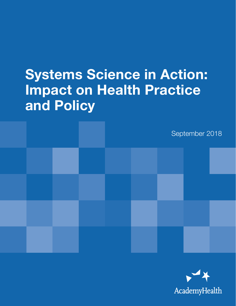# Systems Science in Action: Impact on Health Practice and Policy



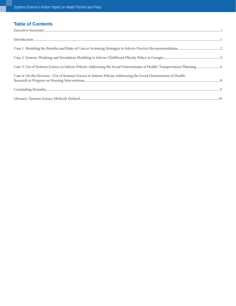# Table of Contents

| Case 4: On the Horizon-Use of Systems Science to Inform Policies Addressing the Social Determinants of Health: |
|----------------------------------------------------------------------------------------------------------------|
|                                                                                                                |
|                                                                                                                |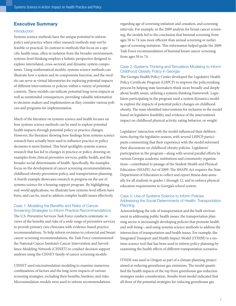### <span id="page-2-0"></span>Executive Summary

#### Introduction

Systems science methods have the unique potential to inform policy and practice where other research methods may not be feasible or practical. In contrast to methods that focus on a specific health issue, often in isolation from the broader environment, systems-level thinking employs a holistic perspective designed to explore interrelated, cross-sectoral, and dynamic system components. Using mathematical models, systems science methods can illustrate how a system and its components function, and the models can serve as virtual laboratories for exploring potential impacts of different interventions or policies within a variety of potential contexts. These models can indicate potential long-term impacts as well as unintended consequences, providing valuable information to decision-makers and implementers as they consider various policies and programs for implementation.

Much of the literature on systems science and health focuses on how systems science methods can be used to explore potential health impacts through potential policy or practice changes. However, the literature showing how findings from systems science research have actually been used to influence practice or policy decisions is more limited. This brief spotlights systems science research that has led to changes in practice or policy, drawing on examples from clinical preventive services, public health, and the broader social determinants of health. Specifically, the examples focus on the development of cancer screening recommendations, childhood obesity prevention policy, and transportation planning. A fourth example showcases research in progress on the use of systems science for a housing support program. By highlighting real-world applications, we illustrate how systems-level efforts have been, and can be, used to address complex health issues effectively.

## Case 1: Modeling the Benefits and Risks of Cancer Screening Strategies to Inform Practice Recommendations

The U.S. Preventive Services Task Force conducts systematic reviews of the benefits and risks of a wide range of preventive services to provide primary care clinicians with evidence-based practice recommendations. To help inform revisions to colorectal and breast cancer screening recommendations, the Task Force commissioned the National Cancer Institute's Cancer Intervention and Surveillance Modeling Network (CISNET) to conduct decision support analyses using the CISNET family of cancer screening models.

CISNET used microsimulation modeling to examine numerous combinations of factors and the long-term impacts of various screening strategies, including their benefits, burdens, and risks. Microsimulation models were used to inform recommendations regarding age of screening initiation and cessation, and screening intervals. For example, in the 2009 analysis for breast cancer screening, the models led to the conclusion that biennial screening from ages 50 to 74 was more efficient than annual screening or earlier ages of screening initiation. This information helped guide the 2009 Task Force recommendation of biennial breast cancer screening from ages 50 to 74.

### Case 2: Systems Thinking and Simulation Modeling to Inform Childhood Obesity Policy in Georgia

The Georgia Health Policy Center developed the Legislative Health Policy Certificate Program (LHPCP) to improve the policymaking process by helping state lawmakers think more broadly and deeply about health issues, utilizing a systems thinking framework. Legislators participating in the program used a system dynamics model to explore the impacts of potential policy changes on childhood obesity. The team identified interventions for inclusion in the model based on legislative feasibility and evidence of the intervention's impact on childhood physical activity, eating behavior, or weight.

Legislators' interaction with the model influenced their deliberations during the legislative session, with several LHPCP participants commenting that their experience with the model informed their discussions on childhood obesity policies. Legislators' participation in the program—along with several parallel efforts by various Georgia academic institutions and community organizations—contributed to passage of the Student Health and Physical Education (SHAPE) Act of 2009. The SHAPE Act requires the State Department of Education to collect and report fitness data annually for all students in grades 1 through 12, and to enforce physical education requirements in Georgia's school system.

#### Case 3: Use of Systems Science to Inform Policies Addressing the Social Determinants of Health: Transportation **Planning**

Acknowledging the role of transportation and the built environment in addressing public health issues, the transportation planning sector is increasingly developing policies that promote health and well-being—and using systems science methods to address the intersection of transportation and health issues. For example, the Integrated Transport and Health Impact Model (ITHIM) is a systems science tool that has been used to inform policy planning by examining the health effects of different transportation scenarios.

ITHIM was used in Oregon as part of a climate planning project aimed at reducing greenhouse gas emissions. The model quantified the health impacts of the top three greenhouse gas reduction strategies under consideration. Results from model indicated that all three of the potential strategies for reducing greenhouse gas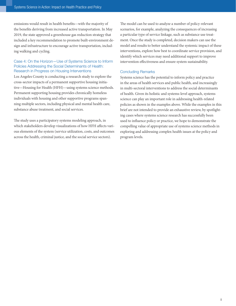emissions would result in health benefits—with the majority of the benefits deriving from increased active transportation. In May 2019, the state approved a greenhouse gas reduction strategy that included a key recommendation to promote built-environment design and infrastructure to encourage active transportation, including walking and cycling.

#### Case 4: On the Horizon—Use of Systems Science to Inform Policies Addressing the Social Determinants of Health: Research in Progress on Housing Interventions

Los Angeles County is conducting a research study to explore the cross-sector impacts of a permanent supportive housing initiative—Housing for Health (HFH)—using systems science methods. Permanent supporting housing provides chronically homeless individuals with housing and other supportive programs spanning multiple sectors, including physical and mental health care, substance abuse treatment, and social services.

The study uses a participatory systems modeling approach, in which stakeholders develop visualizations of how HFH affects various elements of the system (service utilization, costs, and outcomes across the health, criminal justice, and the social service sectors).

The model can be used to analyze a number of policy-relevant scenarios, for example, analyzing the consequences of increasing a particular type of service linkage, such as substance use treatment. Once the study is completed, decision makers can use the model and results to better understand the systemic impact of these interventions, explore how best to coordinate service provision, and identify which services may need additional support to improve intervention effectiveness and ensure system sustainability.

#### Concluding Remarks

Systems science has the potential to inform policy and practice in the areas of health services and public health, and increasingly in multi-sectoral interventions to address the social determinants of health. Given its holistic and systems-level approach, systems science can play an important role in addressing health-related policies as shown in the examples above. While the examples in this brief are not intended to provide an exhaustive review, by spotlighting cases where systems science research has successfully been used to influence policy or practice, we hope to demonstrate the compelling value of appropriate use of systems science methods in exploring and addressing complex health issues at the policy and program levels.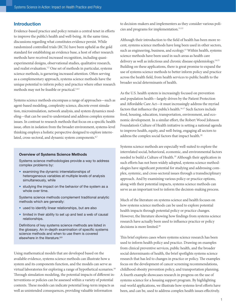## <span id="page-4-0"></span>Introduction

Evidence-based practice and policy remain a central tenet in efforts to improve the public's health and well-being. At the same time, discussions regarding what constitutes evidence persist. While randomized controlled trials (RCTs) have been upheld as the gold standard for establishing an evidence base, a host of other research methods have received increased recognition, including quasiexperimental designs, observational studies, qualitative research, and realist evaluation.<sup>1,2</sup> One set of methods in particular, systems science methods, is garnering increased attention. Often serving as a complementary approach, systems science methods have the unique potential to inform policy and practice where other research methods may not be feasible or practical.3,4,5

Systems science methods encompass a range of approaches—such as agent-based modeling, complexity science, discrete event simulation, microsimulation, network analysis, and system dynamics modeling—that can be used to understand and address complex systems issues. In contrast to research methods that focus on a specific health issue, often in isolation from the broader environment, systems-level thinking employs a holistic perspective designed to explore interrelated, cross-sectoral, and dynamic system components.<sup>6,7</sup>

#### Overview of Systems Science Methods

Systems science methodologies provide a way to address complex problems by:

- examining the dynamic interrelationships of heterogeneous variables at multiple levels of analysis simultaneously, while
- studying the impact on the behavior of the system as a whole over time.

Systems science methods complement traditional analytic methods which are generally:

- used to identify linear relationships, but are also
- limited in their ability to set up and test a web of causal relationships.

Definitions of key systems science methods are listed in the glossary. An in-depth examination of specific systems science methods and when to use them is covered elsewhere in the literature.<sup>8,9</sup>

Using mathematical models that are developed based on the available evidence, systems science methods can illustrate how a system and its components function, and the models can serve as virtual laboratories for exploring a range of hypothetical scenarios.<sup>10</sup> Through simulation modeling, the potential impacts of different interventions or policies can be assessed within a variety of potential contexts. These models can indicate potential long-term impacts as well as unintended consequences, providing valuable information

to decision-makers and implementers as they consider various policies and programs for implementation.<sup>11,12</sup>

Although their introduction to the field of health has been more recent, systems science methods have long been used in other sectors, such as engineering, business, and ecology.<sup>13</sup> Within health, systems science methods have been used in such areas as health care delivery as well as infectious and chronic disease epidemiology.<sup>14,15</sup> Building on these applications, there is great promise to expand the use of systems science methods to better inform policy and practice across the health field, from health services to public health to the broader social determinants of health.

As the U.S. health system is increasingly focused on prevention and population health—largely driven by the Patient Protection and Affordable Care Act—it must increasingly address the myriad factors that influence the public's health.<sup>16,17</sup> Such factors include food, housing, education, transportation, environment, and economic development. In a similar effort, the Robert Wood Johnson Foundation's Culture of Health initiative is setting a national agenda to improve health, equity, and well-being, engaging all sectors to address the complex social factors that impact health.<sup>18</sup>

Systems science methods are especially well-suited to explore the interrelated social, behavioral, economic, and environmental factors needed to build a Culture of Health.19 Although their application in such efforts has not been widely adopted, systems science methodologies have significant potential for studying and addressing complex, systemic, and cross-sectoral issues through a transdisciplinary approach. And by examining various policy or practice options, along with their potential impacts, systems science methods can serve as an important tool to inform the decision-making process.

Much of the literature on systems science and health focuses on how systems science methods can be used to explore potential health impacts through potential policy or practice changes. However, the literature showing how findings from systems science research have actually been used to influence practice or policy decisions is more limited.<sup>20</sup>

This brief explores cases where systems science research has been used to inform health policy and practice. Drawing on examples from clinical preventive services, public health, and the broader social determinants of health, the brief spotlights systems science research that has led to changes in practice or policy. The examples focus on the development of cancer screening recommendations, childhood obesity prevention policy, and transportation planning. A fourth example showcases research in progress on the use of systems science for a housing support program. By highlighting real-world applications, we illustrate how systems-level efforts have been, and can be, used to address complex health issues effectively.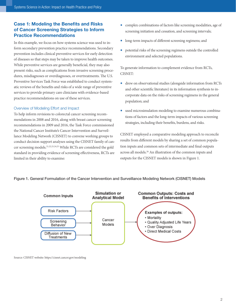# <span id="page-5-0"></span>Case 1: Modeling the Benefits and Risks of Cancer Screening Strategies to Inform Practice Recommendations

In this example, we focus on how systems science was used to inform secondary prevention practice recommendations. Secondary prevention includes clinical preventive services for early detection of diseases so that steps may be taken to improve health outcomes. While preventive services are generally beneficial, they may also present risks, such as complications from invasive screening procedures, misdiagnoses or overdiagnoses, or overtreatments. The U.S. Preventive Services Task Force was established to conduct systematic reviews of the benefits and risks of a wide range of preventive services to provide primary care clinicians with evidence-based practice recommendations on use of these services.

#### Overview of Modeling Effort and Impact

To help inform revisions to colorectal cancer screening recommendations in 2008 and 2016, along with breast cancer screening recommendations in 2009 and 2016, the Task Force commissioned the National Cancer Institute's Cancer Intervention and Surveillance Modeling Network (CISNET) to convene working groups to conduct decision support analyses using the CISNET family of cancer screening models.21,22,23,24,25 While RCTs are considered the gold standard in providing evidence of screening effectiveness, RCTs are limited in their ability to examine:

- complex combinations of factors like screening modalities, age of screening initiation and cessation, and screening intervals;
- long-term impacts of different screening regimens; and
- potential risks of the screening regimens outside the controlled environment and selected populations.

To generate information to complement evidence from RCTs, CISNET:

- drew on observational studies (alongside information from RCTs and other scientific literature) in its information synthesis to incorporate data on the risks of screening regimens in the general population; and
- used microsimulation modeling to examine numerous combinations of factors and the long-term impacts of various screening strategies, including their benefits, burdens, and risks.

CISNET employed a comparative modeling approach to reconcile results from different models by sharing a set of common population inputs and common sets of intermediate and final outputs across all models.26 An illustration of the common inputs and outputs for the CISNET models is shown in Figure 1.

#### Figure 1. General Formulation of the Cancer Intervention and Surveillance Modeling Network (CISNET) Models



Source: CISNET website: <https://cisnet.cancer.gov/modeling>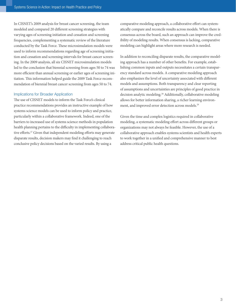In CISNET's 2009 analysis for breast cancer screening, the team modeled and compared 20 different screening strategies with varying ages of screening initiation and cessation and screening frequencies, complementing a systematic review of the literature conducted by the Task Force. These microsimulation models were used to inform recommendations regarding age of screening initiation and cessation and screening intervals for breast cancer screening. In the 2009 analysis, all six CISNET microsimulation models led to the conclusion that biennial screening from ages 50 to 74 was more efficient than annual screening or earlier ages of screening initiation. This information helped guide the 2009 Task Force recommendation of biennial breast cancer screening from ages 50 to 74.

#### Implications for Broader Application

The use of CISNET models to inform the Task Force's clinical practice recommendations provides an instructive example of how systems science models can be used to inform policy and practice, particularly within a collaborative framework. Indeed, one of the barriers to increased use of systems science methods in population health planning pertains to the difficulty in implementing collaborative efforts.<sup>27</sup> Given that independent modeling efforts may generate disparate results, decision makers may find it challenging to reach conclusive policy decisions based on the varied results. By using a

comparative modeling approach, a collaborative effort can systematically compare and reconcile results across models. When there is consensus across the board, such an approach can improve the credibility of modeling results. When consensus is lacking, comparative modeling can highlight areas where more research is needed.

In addition to reconciling disparate results, the comparative modeling approach has a number of other benefits. For example, establishing common inputs and outputs necessitates a certain transparency standard across models. A comparative modeling approach also emphasizes the level of uncertainty associated with different models and assumptions. Both transparency and clear reporting of assumptions and uncertainties are principles of good practice in decision analytic modeling.28 Additionally, collaborative modeling allows for better information sharing, a richer learning environment, and improved error detection across models.<sup>29</sup>

Given the time and complex logistics required in collaborative modeling, a systematic modeling effort across different groups or organizations may not always be feasible. However, the use of a collaborative approach enables systems scientists and health experts to work together in a unified and comprehensive manner to best address critical public health questions.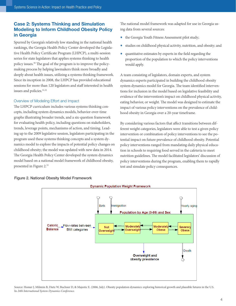# <span id="page-7-0"></span>Case 2: Systems Thinking and Simulation Modeling to Inform Childhood Obesity Policy in Georgia

Spurred by Georgia's relatively low standing in the national health rankings, the Georgia Health Policy Center developed the Legislative Health Policy Certificate Program (LHPCP), a multi-session series for state legislators that applies systems thinking to health policy issues.<sup>30</sup> The goal of the program is to improve the policymaking process by helping lawmakers think more broadly and deeply about health issues, utilizing a systems thinking framework. Since its inception in 2008, the LHPCP has provided educational sessions for more than 120 legislators and staff interested in health issues and policies.<sup>31,32</sup>

#### Overview of Modeling Effort and Impact

The LHPCP curriculum includes various systems thinking concepts, including system dynamics models, behavior-over-time graphs illustrating broader trends, and a six-question framework for evaluating health policy, including questions on stakeholders, trends, leverage points, mechanisms of action, and timing. Leading up to the 2009 legislative session, legislators participating in the program used these systems thinking concepts and a system dynamics model to explore the impacts of potential policy changes on childhood obesity; the model was updated with new data in 2014. The Georgia Health Policy Center developed the system dynamics model based on a national model framework of childhood obesity, presented in Figure 2.33

The national model framework was adapted for use in Georgia using data from several sources:

- the Georgia Youth Fitness Assessment pilot study;
- studies on childhood physical activity, nutrition, and obesity; and
- quantitative estimates by experts in the field regarding the proportion of the population to which the policy interventions would apply.

A team consisting of legislators, domain experts, and system dynamics experts participated in building the childhood obesity system dynamics model for Georgia. The team identified interventions for inclusion in the model based on legislative feasibility and evidence of the intervention's impact on childhood physical activity, eating behavior, or weight. The model was designed to estimate the impact of various policy interventions on the prevalence of childhood obesity in Georgia over a 20-year timeframe.

By considering various factors that affect transitions between different weight categories, legislators were able to test a given policy intervention or combination of policy interventions to see the potential impact on future prevalence of childhood obesity. Potential policy interventions ranged from mandating daily physical education in schools to requiring food served in the cafeteria to meet nutrition guidelines. The model facilitated legislators' discussion of policy interventions during the program, enabling them to rapidly test and simulate policy consequences.



#### Figure 2. National Obesity Model Framework

Source: Homer J, Milstein B, Dietz W, Buchner D, & Majestic E. (2006, July). Obesity population dynamics: exploring historical growth and plausible futures in the U.S. In *24th International System Dynamics Conference*.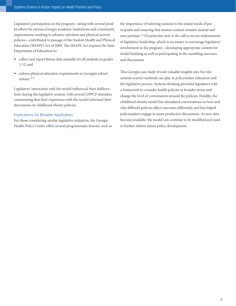Legislators' participation in the program—along with several parallel efforts by various Georgia academic institutions and community organizations working to advance nutrition and physical activity policies—contributed to passage of the Student Health and Physical Education (SHAPE) Act of 2009. The SHAPE Act requires the State Department of Education to:

- collect and report fitness data annually for all students in grades 1-12, and
- enforce physical education requirements in Georgia's school system.34,35

Legislators' interaction with the model influenced their deliberations during the legislative session, with several LHPCP attendees commenting that their experience with the model informed their discussions on childhood obesity policies.

#### Implications for Broader Application

For those considering similar legislative initiatives, the Georgia Health Policy Center offers several programmatic lessons, such as the importance of tailoring sessions to the stated needs of participants and ensuring that session content remains neutral and non-partisan.36 Of particular note is the call to secure endorsement of legislative leadership, which is necessary to encourage legislators' involvement in the program—developing appropriate content for model building as well as participating in the modeling exercises and discussions.

This Georgia case study reveals valuable insights into the role systems science methods can play in policymaker education and the legislative process. Systems thinking provided legislators with a framework to consider health policies in broader terms and change the level of conversation around the policies. Notably, the childhood obesity model has stimulated conversations on how and why different policies affect outcomes differently and has helped policymakers engage in more productive discussions. As new data become available, the model can continue to be modified and used to further inform future policy development.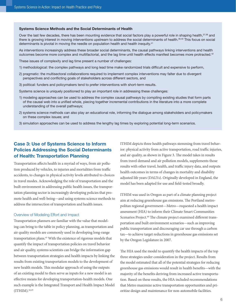#### <span id="page-9-0"></span>Systems Science Methods and the Social Determinants of Health

Over the last few decades, there has been mounting evidence that social factors play a powerful role in shaping health, 37,38 and there is growing interest in moving interventions upstream to address the social determinants of health.<sup>39,40</sup> This focus on social determinants is pivotal in moving the needle on population health and health inequity.<sup>41</sup>

As interventions increasingly address these broader social determinants, the causal pathways linking interventions and health outcomes become more complex and multifactorial, and the lag time until health effects manifest becomes more protracted.<sup>42</sup>

These issues of complexity and lag time present a number of challenges:

- 1) methodological: the complex pathways and long lead time make randomized trials difficult and expensive to perform,
- 2) pragmatic: the multisectoral collaborations required to implement complex interventions may falter due to divergent perspectives and conflicting goals of stakeholders across different sectors, and
- 3) political: funders and policymakers tend to prefer interventions with short-term results.

Systems science is uniquely positioned to play an important role in addressing these challenges:

- 1) modeling approaches can be used to address the complex causal pathways by compiling existing studies that form parts of the causal web into a unified whole, piecing together incremental contributions in the literature into a more complete understanding of the overall pathways;
- 2) systems science methods can also play an educational role, informing the dialogue among stakeholders and policymakers on these complex issues; and
- 3) simulation approaches can be used to address the lengthy lag times by exploring potential long-term scenarios.

# Case 3: Use of Systems Science to Inform Policies Addressing the Social Determinants of Health: Transportation Planning

Transportation affects health in a myriad of ways, from air pollution produced by vehicles, to injuries and mortalities from traffic accidents, to changes in physical activity levels attributed to choices in travel modes. Acknowledging the role of transportation and the built environment in addressing public health issues, the transportation planning sector is increasingly developing policies that promote health and well-being—and using systems science methods to address the intersection of transportation and health issues.

#### Overview of Modeling Effort and Impact

Transportation planners are familiar with the value that modeling can bring to the table in policy planning, as transportation and air quality models are commonly used in developing long-range transportation plans.43 With the existence of rigorous models that quantify the impact of transportation policies on travel behavior and air quality, systems scientists can bridge the information gap between transportation strategies and health impacts by linking the results from existing transportation models to the development of new health models. This modular approach of using the outputs of an existing model to then serve as inputs for a new model is an effective means for developing transportation-health models. One such example is the Integrated Transport and Health Impact Model  $(ITHIM).<sup>44,45</sup>$ 

ITHIM depicts three health pathways stemming from travel behavior: physical activity from active transportation, road traffic injuries, and air quality, as shown in Figure 3. The model takes in results from travel demand and air pollution models, supplements those results with other travel, health, and traffic injury data, and outputs health outcomes in terms of changes in mortality and disability adjusted life years (DALYs). Originally developed in England, the model has been adapted for use and field-tested broadly.

ITHIM was used in Oregon as part of a climate planning project aim at reducing greenhouse gas emissions. The Portland metropolitan regional government—Metro—requested a health impact assessment (HIA) to inform their Climate Smart Communities Scenarios Project.<sup>46</sup> The climate project examined different transportation and built environment scenarios—such as improving public transportation and discouraging car use through a carbon tax—to achieve target reductions in greenhouse gas emissions set by the Oregon Legislature in 2007.

The HIA used the model to quantify the health impacts of the top three strategies under consideration in the project. Results from the model estimated that all of the potential strategies for reducing greenhouse gas emissions would result in health benefits—with the majority of the benefits deriving from increased active transportation. Based on these results, the HIA included recommendations that Metro maximize active transportation opportunities and prioritize design and maintenance for non-automobile facilities.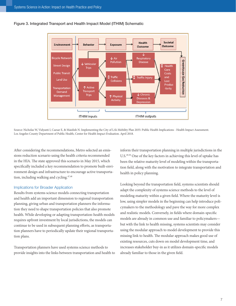



Source: Nicholas W, Vidyanti I, Caesar E, & Maizlish N. Implementing the City of LA's Mobility Plan 2035: Public Health Implications - Health Impact Assessment. Los Angeles County Department of Public Health, Center for Health Impact Evaluation. April 2018.

After considering the recommendations, Metro selected an emissions reduction scenario using the health criteria recommended in the HIA. The state approved this scenario in May 2015, which specifically included a key recommendation to promote built-environment design and infrastructure to encourage active transportation, including walking and cycling.47,48

#### Implications for Broader Application

Results from systems science models connecting transportation and health add an important dimension to regional transportation planning, giving urban and transportation planners the information they need to shape transportation policies that also promote health. While developing or adapting transportation-health models requires upfront investment by local jurisdictions, the models can continue to be used in subsequent planning efforts, as transportation planners have to periodically update their regional transportation plans.

Transportation planners have used systems science methods to provide insights into the links between transportation and health to inform their transportation planning in multiple jurisdictions in the U.S.49,50 One of the key factors in achieving this level of uptake has been the relative maturity level of modeling within the transportation field, along with the motivation to integrate transportation and health in policy planning.

Looking beyond the transportation field, systems scientists should adapt the complexity of systems science methods to the level of modeling maturity within a given field. Where the maturity level is low, using simpler models in the beginning can help introduce policymakers to the methodology and pave the way for more complex and realistic models. Conversely, in fields where domain-specific models are already in common use and familiar to policymakers but with the link to health missing, systems scientists may consider using the modular approach to model development to provide this missing link to health. The modular approach makes good use of existing resources, cuts down on model development time, and increases stakeholder buy-in as it utilizes domain-specific models already familiar to those in the given field.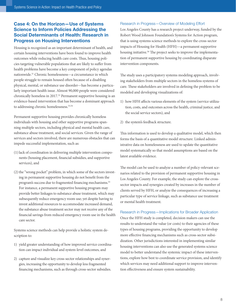# <span id="page-11-0"></span>Case 4: On the Horizon—Use of Systems Science to Inform Policies Addressing the Social Determinants of Health: Research in Progress on Housing Interventions

Housing is recognized as an important determinant of health, and certain housing interventions have been found to improve health outcomes while reducing health care costs. Thus, housing policies targeting vulnerable populations that are likely to suffer from health problems have become a key component of policy agendas nationwide.51 Chronic homelessness—a circumstance in which people struggle to remain housed often because of a disabling physical, mental, or substance use disorder—has become a particularly important health issue. Almost 90,000 people were considered chronically homeless in 2017.<sup>52</sup> Permanent supportive housing is an evidence-based intervention that has become a dominant approach to addressing chronic homelessness.<sup>53,54</sup>

Permanent supportive housing provides chronically homeless individuals with housing and other supportive programs spanning multiple sectors, including physical and mental health care, substance abuse treatment, and social services. Given the range of services and sectors involved, there are numerous obstacles that can impede successful implementation, such as:

- (1)lack of coordination in delivering multiple intervention components (housing placement, financial subsidies, and supportive services), and
- (2) the "wrong pocket" problem, in which some of the sectors investing in permanent supportive housing do not benefit from the program's success due to fragmented financing mechanisms.<sup>55</sup> For instance, a permanent supportive housing program may provide better linkages to substance abuse treatment, which may subsequently reduce emergency room use; yet despite having to invest additional resources to accommodate increased demand, the substance abuse treatment sector may not receive any of the financial savings from reduced emergency room use in the health care sector.

Systems science methods can help provide a holistic system description to:

- 1) yield greater understanding of how improved service coordination can impact individual and system-level outcomes, and
- 2) capture and visualize key cross-sector relationships and synergies, increasing the opportunity to develop less fragmented financing mechanisms, such as through cross-sector subsidies.

#### Research in Progress—Overview of Modeling Effort

Los Angeles County has a research project underway, funded by the Robert Wood Johnson Foundation's Systems for Action program, that is using systems science methods to explore the cross-sector impacts of Housing for Health (HFH)—a permanent supportive housing initiative.<sup>56</sup> The project seeks to improve the implementation of permanent supportive housing by coordinating disparate intervention components.

The study uses a participatory systems modeling approach, involving stakeholders from multiple sectors in the homeless systems of care. These stakeholders are involved in defining the problem to be modeled and developing visualizations of:

- 1) how HFH affects various elements of the system (service utilization, costs, and outcomes across the health, criminal justice, and the social service sectors), and
- 2) the system's feedback structure.

This information is used to develop a qualitative model, which then forms the basis of a quantitative model structure. Linked administrative data on homelessness are used to update the quantitative model systematically so that model assumptions are based on the latest available evidence.

The model can be used to analyze a number of policy-relevant scenarios related to the provision of permanent supportive housing in Los Angeles County. For example, the study can explore the crosssector impacts and synergies created by increases in the number of clients served by HFH, or analyze the consequences of increasing a particular type of service linkage, such as substance use treatment or mental health treatment.

Research in Progress—Implications for Broader Application Once the HFH study is completed, decision makers can use the results to understand the value (or costs) to their agencies of these types of housing programs, providing the opportunity to develop more effective financing mechanisms such as cross-sector subsidization. Other jurisdictions interested in implementing similar housing interventions can also use the generated systems science model to better understand the systemic impact of these interventions, explore how best to coordinate service provision, and identify which services may need additional support to improve intervention effectiveness and ensure system sustainability.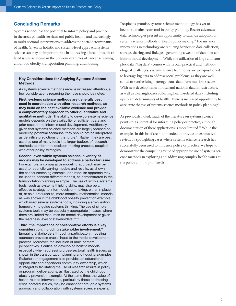## <span id="page-12-0"></span>Concluding Remarks

Systems science has the potential to inform policy and practice in the areas of health services and public health, and increasingly in multi-sectoral interventions to address the social determinants of health. Given its holistic and systems-level approach, systems science can play an important role in addressing a host of health-related issues as shown in the previous examples of cancer screening, childhood obesity, transportation planning, and housing.

#### Key Considerations for Applying Systems Science Methods

As systems science methods receive increased attention, a few considerations regarding their use should be noted:

First, systems science methods are generally best used in coordination with other research methods, as they build on the best available evidence and provide a complementary approach to other quantitative and qualitative methods. The ability to develop systems science models depends on the availability of sufficient data and prior research to inform model development. Additionally, given that systems science methods are largely focused on modeling potential scenarios, they should not be interpreted as definitive predictions of the future.<sup>57</sup> Rather, they are best used as one of many tools in a larger toolbox of research methods to inform the decision-making process, coupled with other policy strategies.

Second, even within systems science, a variety of models may be developed to address a particular issue. For example, a comparative modeling approach may be used to reconcile varying models and results, as shown in the cancer screening example, or a modular approach may be used to connect different models, as demonstrated in the transportation planning example. The use of simple systems tools, such as systems thinking skills, may also be an effective strategy to inform decision-making, either in place of, or as a precursor to, more complex mathematical models, as was shown in the childhood obesity prevention example which used several systems tools, including a six-question framework, to guide systems thinking. The use of simple systems tools may be especially appropriate in cases where there are limited resources for model development or given the readiness level of stakeholders. 58,59

Third, the importance of collaborative efforts is a key consideration, including stakeholder involvement.<sup>60</sup> Engaging stakeholders through a participatory modeling approach provides crucial input to the model development process. Moreover, the inclusion of multi-sectoral perspectives is critical to developing holistic models, especially when addressing cross-sectoral health issues, as shown in the transportation planning and housing examples. Stakeholder engagement also provides an educational opportunity and engenders community ownership, which is integral to facilitating the use of research results in policy or program deliberations, as illustrated by the childhood obesity prevention example. At the same time, the value of health-related interventions, particularly those addressing cross-sectoral issues, may be enhanced through a systems approach and collaboration with systems science experts.

Despite its promise, systems science methodology has yet to become a mainstream tool in policy planning. Recent advances in data technologies present an opportunity to catalyze adoption of systems science methods in health policymaking.<sup>61</sup> For instance, innovations in technology are reducing barriers to data collection, storage, sharing, and linkage—generating a wealth of data that can inform model development. While the utilization of large and complex data ("big data") comes with its own practical and methodological challenges, systems science techniques are well-positioned to leverage big data to address social problems, as they are well suited to synthesizing heterogeneous data from multiple sectors. With new developments in local and national data infrastructure, as well as clearinghouses collecting health-related data (including upstream determinants of health), there is increased opportunity to accelerate the use of systems science methods in policy planning.<sup>62</sup>

As previously noted, much of the literature on systems science points to its potential for informing policy or practice, although documentation of these applications is more limited.63 While the examples in this brief are not intended to provide an exhaustive review, by spotlighting cases where systems science research has successfully been used to influence policy or practice, we hope to demonstrate the compelling value of appropriate use of systems science methods in exploring and addressing complex health issues at the policy and program levels.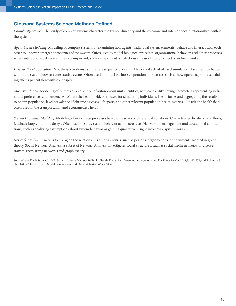# <span id="page-13-0"></span>Glossary: Systems Science Methods Defined

*Complexity Science:* The study of complex systems characterized by non-linearity and the dynamic and interconnected relationships within the system.

*Agent-based Modeling:* Modeling of complex systems by examining how agents (individual system elements) behave and interact with each other to uncover emergent properties of the system. Often used to model biological processes, organizational behavior, and other processes where interactions between entities are important, such as the spread of infectious diseases through direct or indirect contact.

*Discrete Event Simulation:* Modeling of systems as a discrete sequence of events. Also called activity-based simulation. Assumes no change within the system between consecutive events. Often used to model business / operational processes, such as how operating room scheduling affects patient flow within a hospital.

*Microsimulation:* Modeling of systems as a collection of autonomous units / entities, with each entity having parameters representing individual preferences and tendencies. Within the health field, often used for simulating individuals' life histories and aggregating the results to obtain population-level prevalence of chronic diseases, life spans, and other relevant population health metrics. Outside the health field, often used in the transportation and econometrics fields.

*System Dynamics Modeling:* Modeling of non-linear processes based on a series of differential equations. Characterized by stocks and flows, feedback loops, and time delays. Often used to study system behavior at a macro level. Has various management and educational applications, such as analyzing assumptions about system behavior or gaining qualitative insight into how a system works.

*Network Analysis:* Analysis focusing on the relationships among entities, such as persons, organizations, or documents. Rooted in graph theory. Social Network Analysis, a subset of Network Analysis, investigates social structures, such as social media networks or disease transmission, using networks and graph theory.

Source: Luke DA & Stamatakis KA. Systems Science Methods in Public Health: Dynamics, Networks, and Agents. *Annu Rev Public Health*, 2012;33:357-376; and Robinson S. Simulation: The Practice of Model Development and Use. Chichester: Wiley, 2004.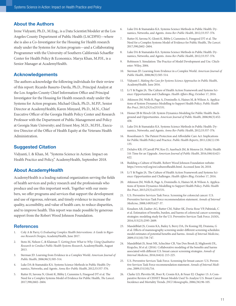## About the Authors

Irene Vidyanti, Ph.D., M.Eng., is a Data Scientist/Modeler at the Los Angeles County Department of Public Health (LACDPH)—where she is also a Co-Investigator for the Housing for Health research study under the Systems for Action program—and a Collaborating Programmer with the University of Southern California's Schaeffer Center for Health Policy & Economics. Marya Khan, M.P.H., is a Senior Manager at AcademyHealth.

### Acknowledgements

The authors acknowledge the following individuals for their review of this report: Ricardo Basurto-Davila, Ph.D., Principal Analyst at the Los Angeles County Chief Information Office and Principal Investigator for the Housing for Health research study under the Systems for Action program; Michael Gluck, Ph.D., M.P.P., Senior Director at AcademyHealth; Karen Minyard, Ph.D., M.N., Chief Executive Officer of the Georgia Health Policy Center and Research Professor with the Department of Public Management and Policy at Georgia State University; and Ernest Moy, M.D., M.P.H., Executive Director of the Office of Health Equity at the Veterans Health Administration.

### Suggested Citation

Vidyanti, I. & Khan, M. "Systems Science in Action: Impact on Health Practice and Policy," AcademyHealth, September 2018.

## About AcademyHealth

AcademyHealth is a leading national organization serving the fields of health services and policy research and the professionals who produce and use this important work. Together with our members, we offer programs and services that support the development and use of rigorous, relevant, and timely evidence to increase the quality, accessibility, and value of health care, to reduce disparities, and to improve health. This report was made possible by generous support from the Robert Wood Johnson Foundation.

#### **References**

- 1. Coly A & Parry, G *Evaluating Complex Health Interventions: A Guide to Rigorous Research Designs*, AcademyHealth, June 2017.
- 2. Stoto M, Nelson C, & Klaiman T. *Getting from What to Why: Using Qualitative Research to Conduct Public Health Systems Research*, AcademyHealth, August 2013.
- 3. Sterman JD. Learning from Evidence in a Complex World. *American Journal of Public Health*, 2006;96(3):505-514.
- 4. Luke DA & Stamatakis KA. Systems Science Methods in Public Health: Dynamics, Networks, and Agents. *Annu Rev Public Health*, 2012;33:357-376.
- 5. Rutter H, Savona N, Glonti K, Bibby J, Cummins S, Finegood DT et al. The Need for a Complex Systems Model of Evidence for Public Health, *The Lancet*. 2017;390;2602–2604.
- 6. Luke DA & Stamatakis KA. Systems Science Methods in Public Health: Dynamics, Networks, and Agents. *Annu Rev Public Health*, 2012;33:357-376.
- 7. Rutter H, Savona N, Glonti K, Bibby J, Cummins S, Finegood DT et al. The Need for a Complex Systems Model of Evidence for Public Health, *The Lancet*. 2017;390;2602–2604.
- 8. Luke DA & Stamatakis KA. Systems Science Methods in Public Health: Dynamics, Networks, and Agents. *Annu Rev Public Health*, 2012;33:357-376.
- 9. Robinson S. Simulation: The Practice of Model Development and Use. Chichester: Wiley, 2004.
- 10. Sterman JD. Learning from Evidence in a Complex World. *American Journal of Public Health*, 2006;96(3):505-514.
- 11. Vidyanti I. *Making the Case for Systems Science Approaches in Public Health*, AcademyHealth. June 2016.
- 12. Li Y & Pagán JA. The Culture of Health Action Framework and Systems Science: Opportunities and Challenges. *Health Affairs Blog*, October 17, 2016.
- 13. Atkinson JM, Wells R, Page A, Dominello A, Haines M, & Wilson A. Applications of System Dynamics Modelling to Support Health Policy. *Public Health Res Pract*, 2015;25(3):e2531531.
- 14. Homer JB & Hirsch GB. System Dynamics Modeling for Public Health: Background and Opportunities. *American Journal of Public Health*, 2006;96(3):452- 458.
- 15. Luke DA & Stamatakis KA. Systems Science Methods in Public Health: Dynamics, Networks, and Agents. *Annu Rev Public Health*, 2012;33:357-376.
- 16. Rosenbaum S. The Patient Protection and Affordable Care Act: Implications for Public Health Policy and Practice. *Public Health Reports*, 2011;126(1):130- 135.
- 17. DeSalvo KB, O'Carroll PW, Koo D, Auerbach JM, & Monroe JA. Public Health 3.0: Time for an Upgrade. *American Journal of Public Health*, 2016;106(4):621- 622.
- 18. Building a Culture of Health. Robert Wood Johnson Foundation website: [https://www.rwjf.org/en/cultureofhealth.html.](	) Accessed June 26, 2018.
- 19. Li Y & Pagán JA. The Culture of Health Action Framework and Systems Science: Opportunities and Challenges. *Health Affairs Blog*, October 17, 2016.
- 20. Atkinson JM, Wells R, Page A, Dominello A, Haines M, & Wilson A. Applications of System Dynamics Modelling to Support Health Policy. *Public Health Res Pract*, 2015;25(3):e2531531.
- 21. U.S. Preventive Services Task Force. Screening for colorectal cancer: U.S. Preventive Services Task Force recommendation statement. *Annals of Internal Medicine*, 2008;149(9):627-37.
- 22. Knudsen AB, Zauber AG, Rutter CM, Naber SK, Doria-Rose VP, Pabiniak, C et al. Estimation of benefits, burden, and harms of colorectal cancer screening strategies: modeling study for the U.S. Preventive Services Task Force. *JAMA*, 2016;315(23):2595-2609.
- 23. Mandelblatt JS, Cronin KA, Bailey S, Berry DA, De Koning HJ, Draisma, G et al. Effects of mammography screening under different screening schedules: model estimates of potential benefits and harms. *Annals of Internal Medicine*, 2009;151(10):738-747.
- 24. Mandelblatt JS, Stout NK, Schechter CB, Van Den Broek JJ, Miglioretti DL, Krapcho, M et al. (2016). Collaborative modeling of the benefits and harms associated with different U.S. breast cancer screening strategies. *Annals of Internal Medicine*, 2016;164(4): 215-225.
- 25. U.S. Preventive Services Task Force. Screening for breast cancer: U.S. Preventive Services Task Force recommendation statement. *Annals of Internal Medicine*, 2009;151(10);716.
- 26. Clarke LD, Plevritis SK, Boer R, Cronin KA, & Feuer EJ. Chapter 13: A Comparative Review of CISNET Breast Models Used To Analyze U.S. Breast Cancer Incidence and Mortality Trends. *JNCI Monographs*, 2006;(36):96-105.